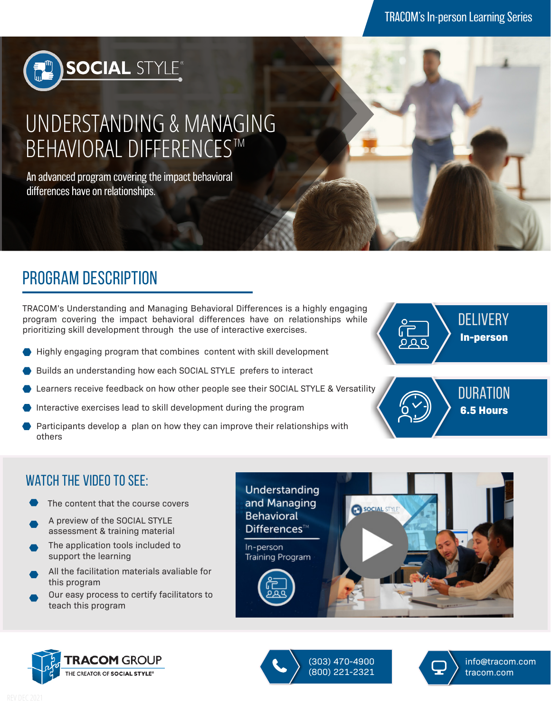

# UNDERSTANDING & MANAGING BEHAVIORAL DIFFERENCES™

An advanced program covering the impact behavioral differences have on relationships.

## program description

TRACOM's Understanding and Managing Behavioral Differences is a highly engaging program covering the impact behavioral differences have on relationships while prioritizing skill development through the use of interactive exercises.

- Highly engaging program that combines content with skill development
- Builds an understanding how each SOCIAL STYLE prefers to interact
- Learners receive feedback on how other people see their SOCIAL STYLE & Versatility
- Interactive exercises lead to skill development during the program
- Participants develop a plan on how they can improve their relationships with others





#### WATCH THE VIDEO TO SEE:

- The content that the course covers
- A preview of the SOCIAL STYLE assessment & training material
- The application tools included to support the learning
- All the facilitation materials avaliable for this program
- Our easy process to certify facilitators to teach this program







(303) 470-4900 (800) 221-2321